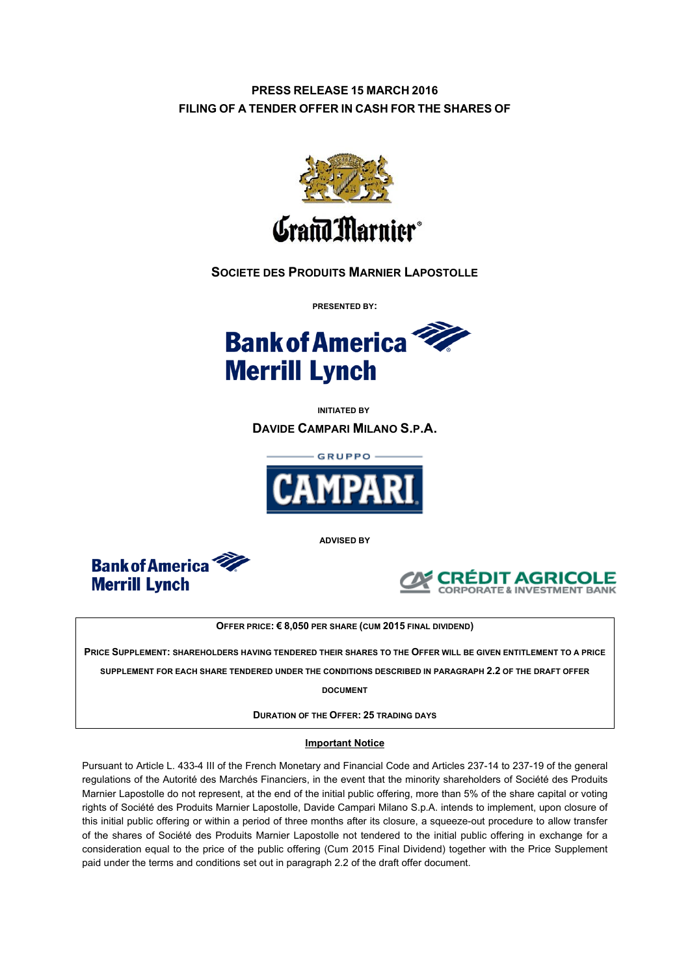# **PRESS RELEASE 15 MARCH 2016 FILING OF A TENDER OFFER IN CASH FOR THE SHARES OF**



# **SOCIETE DES PRODUITS MARNIER LAPOSTOLLE**

**PRESENTED BY:**



**INITIATED BY DAVIDE CAMPARI MILANO S.P.A.**



**ADVISED BY**





**OFFER PRICE:€8,050 PER SHARE (CUM 2015 FINAL DIVIDEND)**

**PRICE SUPPLEMENT: SHAREHOLDERS HAVING TENDERED THEIR SHARES TO THE OFFER WILL BE GIVEN ENTITLEMENT TO A PRICE** 

**SUPPLEMENT FOR EACH SHARE TENDERED UNDER THE CONDITIONS DESCRIBED IN PARAGRAPH 2.2 OF THE DRAFT OFFER** 

**DOCUMENT** 

**DURATION OF THE OFFER:25 TRADING DAYS**

## **Important Notice**

Pursuant to Article L. 433-4 III of the French Monetary and Financial Code and Articles 237-14 to 237-19 of the general regulations of the Autorité des Marchés Financiers, in the event that the minority shareholders of Société des Produits Marnier Lapostolle do not represent, at the end of the initial public offering, more than 5% of the share capital or voting rights of Société des Produits Marnier Lapostolle, Davide Campari Milano S.p.A. intends to implement, upon closure of this initial public offering or within a period of three months after its closure, a squeeze-out procedure to allow transfer of the shares of Société des Produits Marnier Lapostolle not tendered to the initial public offering in exchange for a consideration equal to the price of the public offering (Cum 2015 Final Dividend) together with the Price Supplement paid under the terms and conditions set out in paragraph 2.2 of the draft offer document.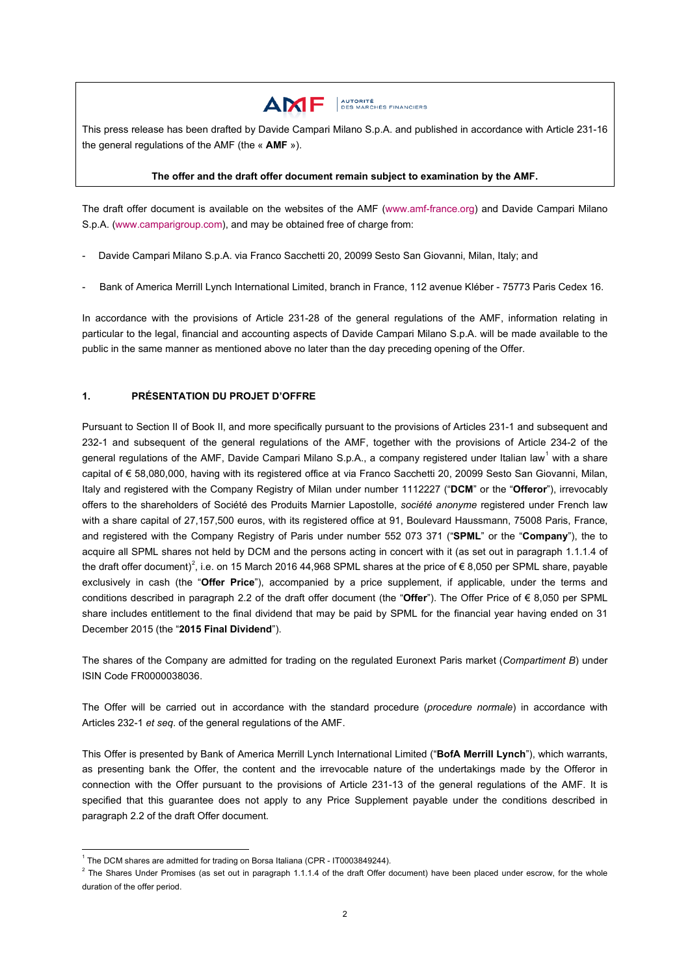

This press release has been drafted by Davide Campari Milano S.p.A. and published in accordance with Article 231-16 the general regulations of the AMF (the « **AMF** »).

#### **The offer and the draft offer document remain subject to examination by the AMF.**

The draft offer document is available on the websites of the AMF [\(www.amf-france.org\)](http://www.amf-france.org/) and Davide Campari Milano S.p.A. [\(www.camparigroup.com\)](http://www.camparigroup.com/), and may be obtained free of charge from:

- Davide Campari Milano S.p.A. via Franco Sacchetti 20, 20099 Sesto San Giovanni, Milan, Italy; and
- Bank of America Merrill Lynch International Limited, branch in France, 112 avenue Kléber 75773 Paris Cedex 16.

In accordance with the provisions of Article 231-28 of the general regulations of the AMF, information relating in particular to the legal, financial and accounting aspects of Davide Campari Milano S.p.A. will be made available to the public in the same manner as mentioned above no later than the day preceding opening of the Offer.

## **1. PRÉSENTATION DU PROJET D'OFFRE**

Pursuant to Section II of Book II, and more specifically pursuant to the provisions of Articles 231-1 and subsequent and 232-1 and subsequent of the general regulations of the AMF, together with the provisions of Article 234-2 of the general regulations of the AMF, Davide Campari Milano S.p.A., a company registered under Italian law<sup>[1](#page-1-0)</sup> with a share capital of € 58,080,000, having with its registered office at via Franco Sacchetti 20, 20099 Sesto San Giovanni, Milan, Italy and registered with the Company Registry of Milan under number 1112227 ("**DCM**" or the "**Offeror**"), irrevocably offers to the shareholders of Société des Produits Marnier Lapostolle, *société anonyme* registered under French law with a share capital of 27,157,500 euros, with its registered office at 91, Boulevard Haussmann, 75008 Paris, France, and registered with the Company Registry of Paris under number 552 073 371 ("**SPML**" or the "**Company**"), the to acquire all SPML shares not held by DCM and the persons acting in concert with it (as set out in paragraph 1.1.1.4 of the draft offer document)<sup>[2](#page-1-1)</sup>, i.e. on 15 March 2016 44,968 SPML shares at the price of  $\epsilon$  8,050 per SPML share, payable exclusively in cash (the "**Offer Price**"), accompanied by a price supplement, if applicable, under the terms and conditions described in paragraph 2.2 of the draft offer document (the "**Offer**"). The Offer Price of € 8,050 per SPML share includes entitlement to the final dividend that may be paid by SPML for the financial year having ended on 31 December 2015 (the "**2015 Final Dividend**").

The shares of the Company are admitted for trading on the regulated Euronext Paris market (*Compartiment B*) under ISIN Code FR0000038036.

The Offer will be carried out in accordance with the standard procedure (*procedure normale*) in accordance with Articles 232-1 *et seq*. of the general regulations of the AMF.

This Offer is presented by Bank of America Merrill Lynch International Limited ("**BofA Merrill Lynch**"), which warrants, as presenting bank the Offer, the content and the irrevocable nature of the undertakings made by the Offeror in connection with the Offer pursuant to the provisions of Article 231-13 of the general regulations of the AMF. It is specified that this guarantee does not apply to any Price Supplement payable under the conditions described in paragraph 2.2 of the draft Offer document.

<span id="page-1-1"></span><span id="page-1-0"></span><sup>&</sup>lt;sup>1</sup> The DCM shares are admitted for trading on Borsa Italiana (CPR - IT0003849244).<br><sup>2</sup> The Shares Under Promises (as set out in paragraph 1.1.1.4 of the draft Offer document) have been placed under escrow, for the whole duration of the offer period.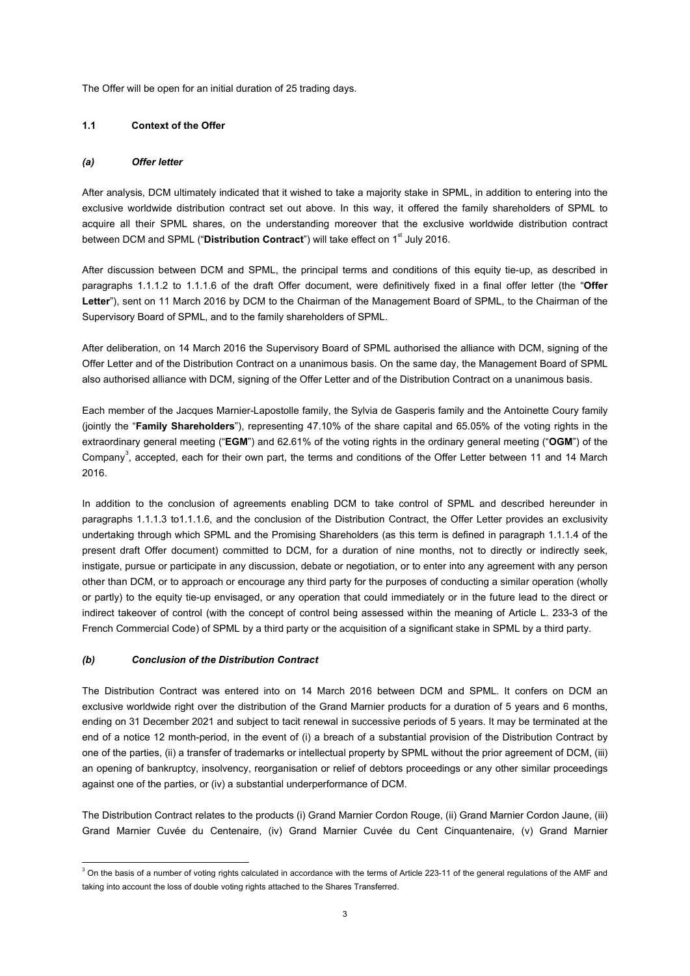The Offer will be open for an initial duration of 25 trading days.

#### <span id="page-2-1"></span>**1.1 Context of the Offer**

#### *(a) Offer letter*

After analysis, DCM ultimately indicated that it wished to take a majority stake in SPML, in addition to entering into the exclusive worldwide distribution contract set out above. In this way, it offered the family shareholders of SPML to acquire all their SPML shares, on the understanding moreover that the exclusive worldwide distribution contract between DCM and SPML ("Distribution Contract") will take effect on 1<sup>st</sup> July 2016.

After discussion between DCM and SPML, the principal terms and conditions of this equity tie-up, as described in paragraphs 1.1.1.2 to 1.1.1.6 of the draft Offer document, were definitively fixed in a final offer letter (the "**Offer Letter**"), sent on 11 March 2016 by DCM to the Chairman of the Management Board of SPML, to the Chairman of the Supervisory Board of SPML, and to the family shareholders of SPML.

After deliberation, on 14 March 2016 the Supervisory Board of SPML authorised the alliance with DCM, signing of the Offer Letter and of the Distribution Contract on a unanimous basis. On the same day, the Management Board of SPML also authorised alliance with DCM, signing of the Offer Letter and of the Distribution Contract on a unanimous basis.

Each member of the Jacques Marnier-Lapostolle family, the Sylvia de Gasperis family and the Antoinette Coury family (jointly the "**Family Shareholders**"), representing 47.10% of the share capital and 65.05% of the voting rights in the extraordinary general meeting ("**EGM**") and 62.61% of the voting rights in the ordinary general meeting ("**OGM**") of the Company<sup>[3](#page-2-0)</sup>, accepted, each for their own part, the terms and conditions of the Offer Letter between 11 and 14 March 2016.

In addition to the conclusion of agreements enabling DCM to take control of SPML and described hereunder in paragraphs 1.1.1.3 to1.1.1.6, and the conclusion of the Distribution Contract, the Offer Letter provides an exclusivity undertaking through which SPML and the Promising Shareholders (as this term is defined in paragraph 1.1.1.4 of the present draft Offer document) committed to DCM, for a duration of nine months, not to directly or indirectly seek, instigate, pursue or participate in any discussion, debate or negotiation, or to enter into any agreement with any person other than DCM, or to approach or encourage any third party for the purposes of conducting a similar operation (wholly or partly) to the equity tie-up envisaged, or any operation that could immediately or in the future lead to the direct or indirect takeover of control (with the concept of control being assessed within the meaning of Article L. 233-3 of the French Commercial Code) of SPML by a third party or the acquisition of a significant stake in SPML by a third party.

## *(b) Conclusion of the Distribution Contract*

The Distribution Contract was entered into on 14 March 2016 between DCM and SPML. It confers on DCM an exclusive worldwide right over the distribution of the Grand Marnier products for a duration of 5 years and 6 months, ending on 31 December 2021 and subject to tacit renewal in successive periods of 5 years. It may be terminated at the end of a notice 12 month-period, in the event of (i) a breach of a substantial provision of the Distribution Contract by one of the parties, (ii) a transfer of trademarks or intellectual property by SPML without the prior agreement of DCM, (iii) an opening of bankruptcy, insolvency, reorganisation or relief of debtors proceedings or any other similar proceedings against one of the parties, or (iv) a substantial underperformance of DCM.

The Distribution Contract relates to the products (i) Grand Marnier Cordon Rouge, (ii) Grand Marnier Cordon Jaune, (iii) Grand Marnier Cuvée du Centenaire, (iv) Grand Marnier Cuvée du Cent Cinquantenaire, (v) Grand Marnier

<span id="page-2-0"></span> $3$  On the basis of a number of voting rights calculated in accordance with the terms of Article 223-11 of the general regulations of the AMF and taking into account the loss of double voting rights attached to the Shares Transferred.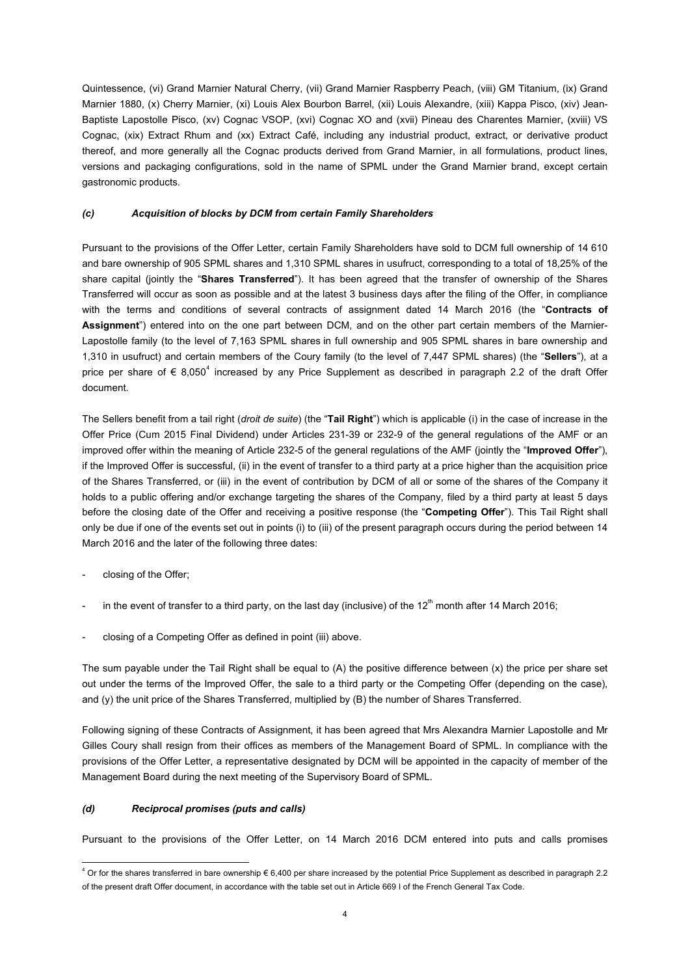Quintessence, (vi) Grand Marnier Natural Cherry, (vii) Grand Marnier Raspberry Peach, (viii) GM Titanium, (ix) Grand Marnier 1880, (x) Cherry Marnier, (xi) Louis Alex Bourbon Barrel, (xii) Louis Alexandre, (xiii) Kappa Pisco, (xiv) Jean-Baptiste Lapostolle Pisco, (xv) Cognac VSOP, (xvi) Cognac XO and (xvii) Pineau des Charentes Marnier, (xviii) VS Cognac, (xix) Extract Rhum and (xx) Extract Café, including any industrial product, extract, or derivative product thereof, and more generally all the Cognac products derived from Grand Marnier, in all formulations, product lines, versions and packaging configurations, sold in the name of SPML under the Grand Marnier brand, except certain gastronomic products.

#### *(c) Acquisition of blocks by DCM from certain Family Shareholders*

Pursuant to the provisions of the Offer Letter, certain Family Shareholders have sold to DCM full ownership of 14 610 and bare ownership of 905 SPML shares and 1,310 SPML shares in usufruct, corresponding to a total of 18,25% of the share capital (jointly the "**Shares Transferred**"). It has been agreed that the transfer of ownership of the Shares Transferred will occur as soon as possible and at the latest 3 business days after the filing of the Offer, in compliance with the terms and conditions of several contracts of assignment dated 14 March 2016 (the "**Contracts of Assignment**") entered into on the one part between DCM, and on the other part certain members of the Marnier-Lapostolle family (to the level of 7,163 SPML shares in full ownership and 905 SPML shares in bare ownership and 1,310 in usufruct) and certain members of the Coury family (to the level of 7,447 SPML shares) (the "**Sellers**"), at a price per share of  $\epsilon$  8,050<sup>[4](#page-3-0)</sup> increased by any Price Supplement as described in paragraph 2.2 of the draft Offer document.

The Sellers benefit from a tail right (*droit de suite*) (the "**Tail Right**") which is applicable (i) in the case of increase in the Offer Price (Cum 2015 Final Dividend) under Articles 231-39 or 232-9 of the general regulations of the AMF or an improved offer within the meaning of Article 232-5 of the general regulations of the AMF (jointly the "**Improved Offer**"), if the Improved Offer is successful, (ii) in the event of transfer to a third party at a price higher than the acquisition price of the Shares Transferred, or (iii) in the event of contribution by DCM of all or some of the shares of the Company it holds to a public offering and/or exchange targeting the shares of the Company, filed by a third party at least 5 days before the closing date of the Offer and receiving a positive response (the "**Competing Offer**"). This Tail Right shall only be due if one of the events set out in points (i) to (iii) of the present paragraph occurs during the period between 14 March 2016 and the later of the following three dates:

- closing of the Offer;
- in the event of transfer to a third party, on the last day (inclusive) of the  $12<sup>th</sup>$  month after 14 March 2016;
- closing of a Competing Offer as defined in point (iii) above.

The sum payable under the Tail Right shall be equal to (A) the positive difference between (x) the price per share set out under the terms of the Improved Offer, the sale to a third party or the Competing Offer (depending on the case), and (y) the unit price of the Shares Transferred, multiplied by (B) the number of Shares Transferred.

Following signing of these Contracts of Assignment, it has been agreed that Mrs Alexandra Marnier Lapostolle and Mr Gilles Coury shall resign from their offices as members of the Management Board of SPML. In compliance with the provisions of the Offer Letter, a representative designated by DCM will be appointed in the capacity of member of the Management Board during the next meeting of the Supervisory Board of SPML.

## *(d) Reciprocal promises (puts and calls)*

Pursuant to the provisions of the Offer Letter, on 14 March 2016 DCM entered into puts and calls promises

<span id="page-3-0"></span> $4$  Or for the shares transferred in bare ownership  $\epsilon$  6.400 per share increased by the potential Price Supplement as described in paragraph 2.2 of the present draft Offer document, in accordance with the table set out in Article 669 I of the French General Tax Code.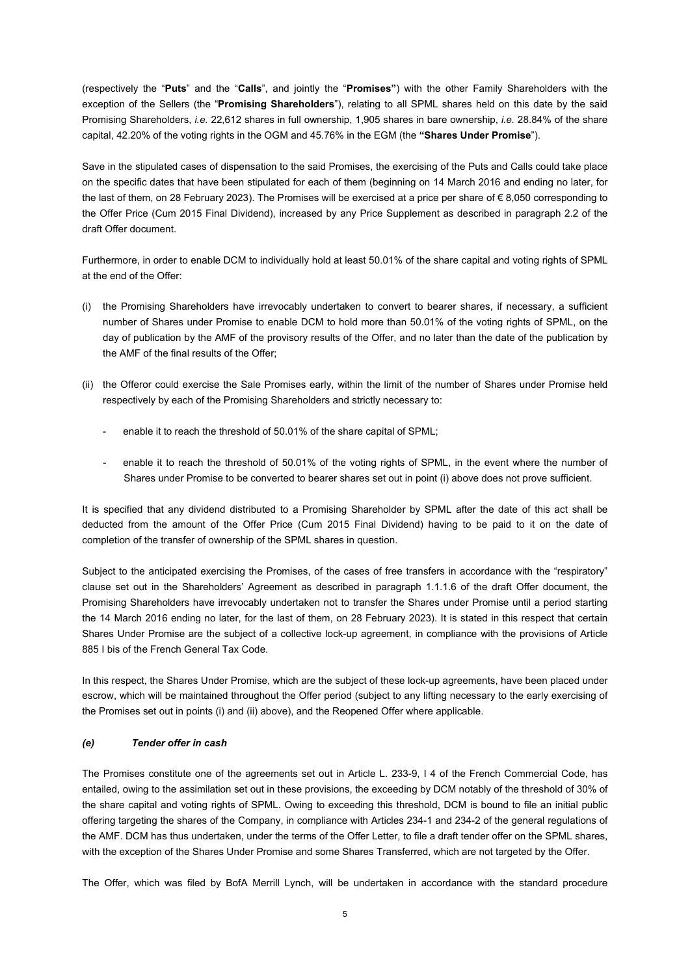(respectively the "**Puts**" and the "**Calls**", and jointly the "**Promises"**) with the other Family Shareholders with the exception of the Sellers (the "**Promising Shareholders**"), relating to all SPML shares held on this date by the said Promising Shareholders, *i.e.* 22,612 shares in full ownership, 1,905 shares in bare ownership, *i.e.* 28.84% of the share capital, 42.20% of the voting rights in the OGM and 45.76% in the EGM (the **"Shares Under Promise**").

Save in the stipulated cases of dispensation to the said Promises, the exercising of the Puts and Calls could take place on the specific dates that have been stipulated for each of them (beginning on 14 March 2016 and ending no later, for the last of them, on 28 February 2023). The Promises will be exercised at a price per share of  $\epsilon$  8,050 corresponding to the Offer Price (Cum 2015 Final Dividend), increased by any Price Supplement as described in paragraph 2.2 of the draft Offer document.

Furthermore, in order to enable DCM to individually hold at least 50.01% of the share capital and voting rights of SPML at the end of the Offer:

- (i) the Promising Shareholders have irrevocably undertaken to convert to bearer shares, if necessary, a sufficient number of Shares under Promise to enable DCM to hold more than 50.01% of the voting rights of SPML, on the day of publication by the AMF of the provisory results of the Offer, and no later than the date of the publication by the AMF of the final results of the Offer;
- (ii) the Offeror could exercise the Sale Promises early, within the limit of the number of Shares under Promise held respectively by each of the Promising Shareholders and strictly necessary to:
	- enable it to reach the threshold of 50.01% of the share capital of SPML;
	- enable it to reach the threshold of 50.01% of the voting rights of SPML, in the event where the number of Shares under Promise to be converted to bearer shares set out in point (i) above does not prove sufficient.

It is specified that any dividend distributed to a Promising Shareholder by SPML after the date of this act shall be deducted from the amount of the Offer Price (Cum 2015 Final Dividend) having to be paid to it on the date of completion of the transfer of ownership of the SPML shares in question.

Subject to the anticipated exercising the Promises, of the cases of free transfers in accordance with the "respiratory" clause set out in the Shareholders' Agreement as described in paragraph 1.1.1.6 of the draft Offer document, the Promising Shareholders have irrevocably undertaken not to transfer the Shares under Promise until a period starting the 14 March 2016 ending no later, for the last of them, on 28 February 2023). It is stated in this respect that certain Shares Under Promise are the subject of a collective lock-up agreement, in compliance with the provisions of Article 885 I bis of the French General Tax Code.

In this respect, the Shares Under Promise, which are the subject of these lock-up agreements, have been placed under escrow, which will be maintained throughout the Offer period (subject to any lifting necessary to the early exercising of the Promises set out in points (i) and (ii) above), and the Reopened Offer where applicable.

#### *(e) Tender offer in cash*

The Promises constitute one of the agreements set out in Article L. 233-9, I 4 of the French Commercial Code, has entailed, owing to the assimilation set out in these provisions, the exceeding by DCM notably of the threshold of 30% of the share capital and voting rights of SPML. Owing to exceeding this threshold, DCM is bound to file an initial public offering targeting the shares of the Company, in compliance with Articles 234-1 and 234-2 of the general regulations of the AMF. DCM has thus undertaken, under the terms of the Offer Letter, to file a draft tender offer on the SPML shares, with the exception of the Shares Under Promise and some Shares Transferred, which are not targeted by the Offer.

The Offer, which was filed by BofA Merrill Lynch, will be undertaken in accordance with the standard procedure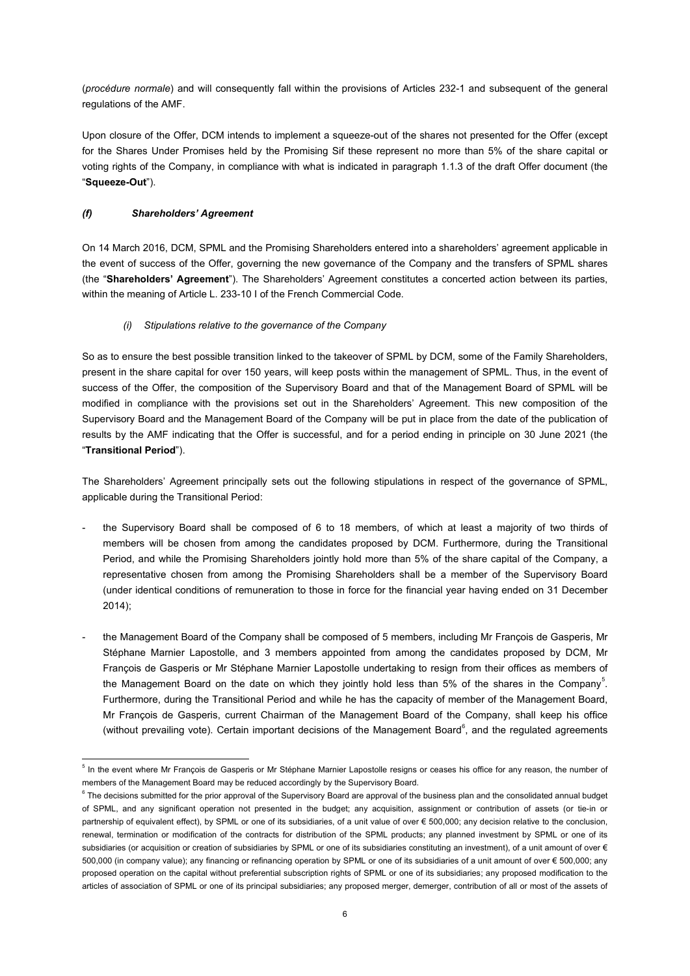(*procédure normale*) and will consequently fall within the provisions of Articles 232-1 and subsequent of the general regulations of the AMF.

Upon closure of the Offer, DCM intends to implement a squeeze-out of the shares not presented for the Offer (except for the Shares Under Promises held by the Promising Sif these represent no more than 5% of the share capital or voting rights of the Company, in compliance with what is indicated in paragraph [1.1.3](#page-8-0) of the draft Offer document (the "**Squeeze-Out**").

# *(f) Shareholders' Agreement*

On 14 March 2016, DCM, SPML and the Promising Shareholders entered into a shareholders' agreement applicable in the event of success of the Offer, governing the new governance of the Company and the transfers of SPML shares (the "**Shareholders' Agreement**"). The Shareholders' Agreement constitutes a concerted action between its parties, within the meaning of Article L. 233-10 I of the French Commercial Code.

*(i) Stipulations relative to the governance of the Company*

So as to ensure the best possible transition linked to the takeover of SPML by DCM, some of the Family Shareholders, present in the share capital for over 150 years, will keep posts within the management of SPML. Thus, in the event of success of the Offer, the composition of the Supervisory Board and that of the Management Board of SPML will be modified in compliance with the provisions set out in the Shareholders' Agreement. This new composition of the Supervisory Board and the Management Board of the Company will be put in place from the date of the publication of results by the AMF indicating that the Offer is successful, and for a period ending in principle on 30 June 2021 (the "**Transitional Period**").

The Shareholders' Agreement principally sets out the following stipulations in respect of the governance of SPML, applicable during the Transitional Period:

- the Supervisory Board shall be composed of 6 to 18 members, of which at least a majority of two thirds of members will be chosen from among the candidates proposed by DCM. Furthermore, during the Transitional Period, and while the Promising Shareholders jointly hold more than 5% of the share capital of the Company, a representative chosen from among the Promising Shareholders shall be a member of the Supervisory Board (under identical conditions of remuneration to those in force for the financial year having ended on 31 December 2014);
- the Management Board of the Company shall be composed of 5 members, including Mr François de Gasperis, Mr Stéphane Marnier Lapostolle, and 3 members appointed from among the candidates proposed by DCM, Mr François de Gasperis or Mr Stéphane Marnier Lapostolle undertaking to resign from their offices as members of the Management Board on the date on which they jointly hold less than [5](#page-5-0)% of the shares in the Company<sup>5</sup>. Furthermore, during the Transitional Period and while he has the capacity of member of the Management Board, Mr François de Gasperis, current Chairman of the Management Board of the Company, shall keep his office (without prevailing vote). Certain important decisions of the Management Board $^6$  $^6$ , and the regulated agreements

<span id="page-5-0"></span><sup>&</sup>lt;sup>5</sup> In the event where Mr François de Gasperis or Mr Stéphane Marnier Lapostolle resigns or ceases his office for any reason, the number of members of the Management Board may be reduced accordingly by the Supervisory Board.<br><sup>6</sup> The decisions submitted for the prior approval of the Supervisory Board are approval of the business plan and the consolidated annual

<span id="page-5-1"></span>of SPML, and any significant operation not presented in the budget; any acquisition, assignment or contribution of assets (or tie-in or partnership of equivalent effect), by SPML or one of its subsidiaries, of a unit value of over € 500,000; any decision relative to the conclusion, renewal, termination or modification of the contracts for distribution of the SPML products; any planned investment by SPML or one of its subsidiaries (or acquisition or creation of subsidiaries by SPML or one of its subsidiaries constituting an investment), of a unit amount of over € 500,000 (in company value); any financing or refinancing operation by SPML or one of its subsidiaries of a unit amount of over € 500,000; any proposed operation on the capital without preferential subscription rights of SPML or one of its subsidiaries; any proposed modification to the articles of association of SPML or one of its principal subsidiaries; any proposed merger, demerger, contribution of all or most of the assets of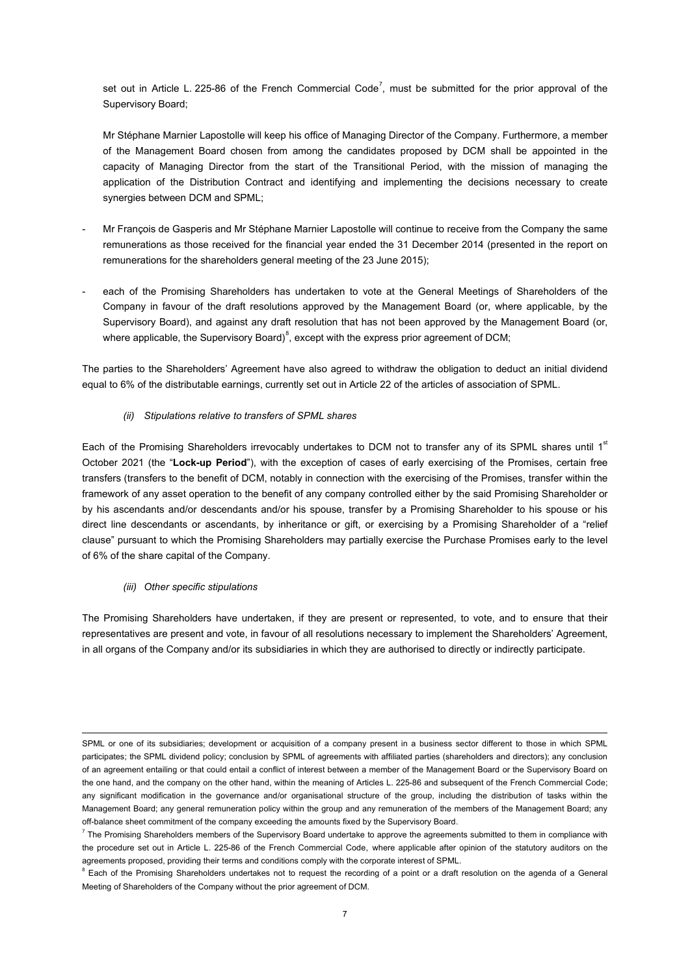set out in Article L. 225-86 of the French Commercial Code<sup>[7](#page-6-0)</sup>, must be submitted for the prior approval of the Supervisory Board;

Mr Stéphane Marnier Lapostolle will keep his office of Managing Director of the Company. Furthermore, a member of the Management Board chosen from among the candidates proposed by DCM shall be appointed in the capacity of Managing Director from the start of the Transitional Period, with the mission of managing the application of the Distribution Contract and identifying and implementing the decisions necessary to create synergies between DCM and SPML;

- Mr François de Gasperis and Mr Stéphane Marnier Lapostolle will continue to receive from the Company the same remunerations as those received for the financial year ended the 31 December 2014 (presented in the report on remunerations for the shareholders general meeting of the 23 June 2015);
- each of the Promising Shareholders has undertaken to vote at the General Meetings of Shareholders of the Company in favour of the draft resolutions approved by the Management Board (or, where applicable, by the Supervisory Board), and against any draft resolution that has not been approved by the Management Board (or, where applicable, the Supervisory Board)<sup>[8](#page-6-1)</sup>, except with the express prior agreement of DCM;

The parties to the Shareholders' Agreement have also agreed to withdraw the obligation to deduct an initial dividend equal to 6% of the distributable earnings, currently set out in Article 22 of the articles of association of SPML.

*(ii) Stipulations relative to transfers of SPML shares*

Each of the Promising Shareholders irrevocably undertakes to DCM not to transfer any of its SPML shares until 1<sup>st</sup> October 2021 (the "**Lock-up Period**"), with the exception of cases of early exercising of the Promises, certain free transfers (transfers to the benefit of DCM, notably in connection with the exercising of the Promises, transfer within the framework of any asset operation to the benefit of any company controlled either by the said Promising Shareholder or by his ascendants and/or descendants and/or his spouse, transfer by a Promising Shareholder to his spouse or his direct line descendants or ascendants, by inheritance or gift, or exercising by a Promising Shareholder of a "relief clause" pursuant to which the Promising Shareholders may partially exercise the Purchase Promises early to the level of 6% of the share capital of the Company.

*(iii) Other specific stipulations* 

The Promising Shareholders have undertaken, if they are present or represented, to vote, and to ensure that their representatives are present and vote, in favour of all resolutions necessary to implement the Shareholders' Agreement, in all organs of the Company and/or its subsidiaries in which they are authorised to directly or indirectly participate.

<sup>-</sup>SPML or one of its subsidiaries; development or acquisition of a company present in a business sector different to those in which SPML participates; the SPML dividend policy; conclusion by SPML of agreements with affiliated parties (shareholders and directors); any conclusion of an agreement entailing or that could entail a conflict of interest between a member of the Management Board or the Supervisory Board on the one hand, and the company on the other hand, within the meaning of Articles L. 225-86 and subsequent of the French Commercial Code; any significant modification in the governance and/or organisational structure of the group, including the distribution of tasks within the Management Board; any general remuneration policy within the group and any remuneration of the members of the Management Board; any off-balance sheet commitment of the company exceeding the amounts fixed by the Supervisory Board.<br><sup>7</sup> The Promising Shareholders members of the Supervisory Board undertake to approve the agreements submitted to them in com

<span id="page-6-0"></span>the procedure set out in Article L. 225-86 of the French Commercial Code, where applicable after opinion of the statutory auditors on the agreements proposed, providing their terms and conditions comply with the corporate interest of SPML.

<span id="page-6-1"></span> $8$  Each of the Promising Shareholders undertakes not to request the recording of a point or a draft resolution on the agenda of a General Meeting of Shareholders of the Company without the prior agreement of DCM.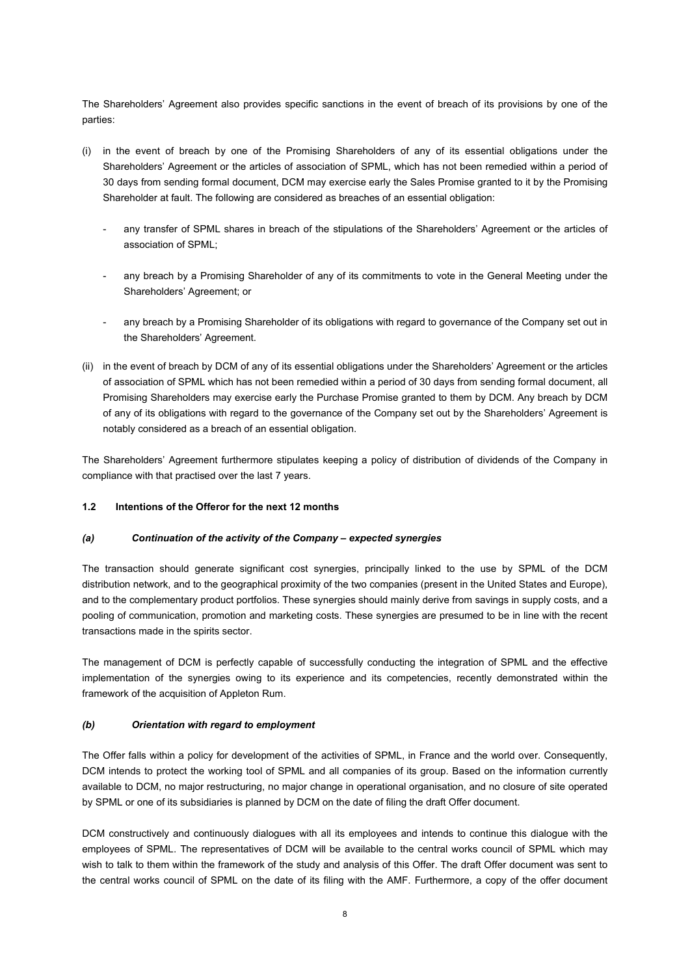The Shareholders' Agreement also provides specific sanctions in the event of breach of its provisions by one of the parties:

- (i) in the event of breach by one of the Promising Shareholders of any of its essential obligations under the Shareholders' Agreement or the articles of association of SPML, which has not been remedied within a period of 30 days from sending formal document, DCM may exercise early the Sales Promise granted to it by the Promising Shareholder at fault. The following are considered as breaches of an essential obligation:
	- any transfer of SPML shares in breach of the stipulations of the Shareholders' Agreement or the articles of association of SPML;
	- any breach by a Promising Shareholder of any of its commitments to vote in the General Meeting under the Shareholders' Agreement; or
	- any breach by a Promising Shareholder of its obligations with regard to governance of the Company set out in the Shareholders' Agreement.
- (ii) in the event of breach by DCM of any of its essential obligations under the Shareholders' Agreement or the articles of association of SPML which has not been remedied within a period of 30 days from sending formal document, all Promising Shareholders may exercise early the Purchase Promise granted to them by DCM. Any breach by DCM of any of its obligations with regard to the governance of the Company set out by the Shareholders' Agreement is notably considered as a breach of an essential obligation.

The Shareholders' Agreement furthermore stipulates keeping a policy of distribution of dividends of the Company in compliance with that practised over the last 7 years.

## **1.2 Intentions of the Offeror for the next 12 months**

#### *(a) Continuation of the activity of the Company – expected synergies*

The transaction should generate significant cost synergies, principally linked to the use by SPML of the DCM distribution network, and to the geographical proximity of the two companies (present in the United States and Europe), and to the complementary product portfolios. These synergies should mainly derive from savings in supply costs, and a pooling of communication, promotion and marketing costs. These synergies are presumed to be in line with the recent transactions made in the spirits sector.

The management of DCM is perfectly capable of successfully conducting the integration of SPML and the effective implementation of the synergies owing to its experience and its competencies, recently demonstrated within the framework of the acquisition of Appleton Rum.

## *(b) Orientation with regard to employment*

The Offer falls within a policy for development of the activities of SPML, in France and the world over. Consequently, DCM intends to protect the working tool of SPML and all companies of its group. Based on the information currently available to DCM, no major restructuring, no major change in operational organisation, and no closure of site operated by SPML or one of its subsidiaries is planned by DCM on the date of filing the draft Offer document.

DCM constructively and continuously dialogues with all its employees and intends to continue this dialogue with the employees of SPML. The representatives of DCM will be available to the central works council of SPML which may wish to talk to them within the framework of the study and analysis of this Offer. The draft Offer document was sent to the central works council of SPML on the date of its filing with the AMF. Furthermore, a copy of the offer document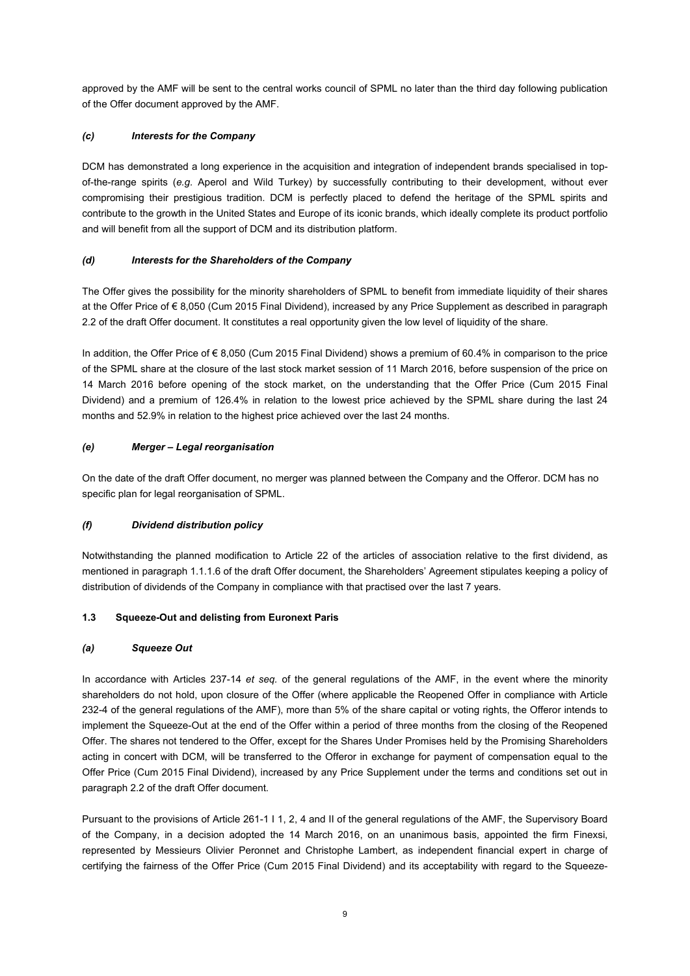approved by the AMF will be sent to the central works council of SPML no later than the third day following publication of the Offer document approved by the AMF.

# *(c) Interests for the Company*

DCM has demonstrated a long experience in the acquisition and integration of independent brands specialised in topof-the-range spirits (*e.g.* Aperol and Wild Turkey) by successfully contributing to their development, without ever compromising their prestigious tradition. DCM is perfectly placed to defend the heritage of the SPML spirits and contribute to the growth in the United States and Europe of its iconic brands, which ideally complete its product portfolio and will benefit from all the support of DCM and its distribution platform.

# *(d) Interests for the Shareholders of the Company*

The Offer gives the possibility for the minority shareholders of SPML to benefit from immediate liquidity of their shares at the Offer Price of € 8,050 (Cum 2015 Final Dividend), increased by any Price Supplement as described in paragraph [2.2](#page-10-0) of the draft Offer document. It constitutes a real opportunity given the low level of liquidity of the share.

In addition, the Offer Price of € 8,050 (Cum 2015 Final Dividend) shows a premium of 60.4% in comparison to the price of the SPML share at the closure of the last stock market session of 11 March 2016, before suspension of the price on 14 March 2016 before opening of the stock market, on the understanding that the Offer Price (Cum 2015 Final Dividend) and a premium of 126.4% in relation to the lowest price achieved by the SPML share during the last 24 months and 52.9% in relation to the highest price achieved over the last 24 months.

# *(e) Merger – Legal reorganisation*

On the date of the draft Offer document, no merger was planned between the Company and the Offeror. DCM has no specific plan for legal reorganisation of SPML.

# *(f) Dividend distribution policy*

Notwithstanding the planned modification to Article 22 of the articles of association relative to the first dividend, as mentioned in paragraph 1.1.1.6 of the draft Offer document, the Shareholders' Agreement stipulates keeping a policy of distribution of dividends of the Company in compliance with that practised over the last 7 years.

## <span id="page-8-0"></span>**1.3 Squeeze-Out and delisting from Euronext Paris**

## *(a) Squeeze Out*

In accordance with Articles 237-14 *et seq.* of the general regulations of the AMF, in the event where the minority shareholders do not hold, upon closure of the Offer (where applicable the Reopened Offer in compliance with Article 232-4 of the general regulations of the AMF), more than 5% of the share capital or voting rights, the Offeror intends to implement the Squeeze-Out at the end of the Offer within a period of three months from the closing of the Reopened Offer. The shares not tendered to the Offer, except for the Shares Under Promises held by the Promising Shareholders acting in concert with DCM, will be transferred to the Offeror in exchange for payment of compensation equal to the Offer Price (Cum 2015 Final Dividend), increased by any Price Supplement under the terms and conditions set out in paragrap[h 2.2](#page-10-0) of the draft Offer document.

Pursuant to the provisions of Article 261-1 I 1, 2, 4 and II of the general regulations of the AMF, the Supervisory Board of the Company, in a decision adopted the 14 March 2016, on an unanimous basis, appointed the firm Finexsi, represented by Messieurs Olivier Peronnet and Christophe Lambert, as independent financial expert in charge of certifying the fairness of the Offer Price (Cum 2015 Final Dividend) and its acceptability with regard to the Squeeze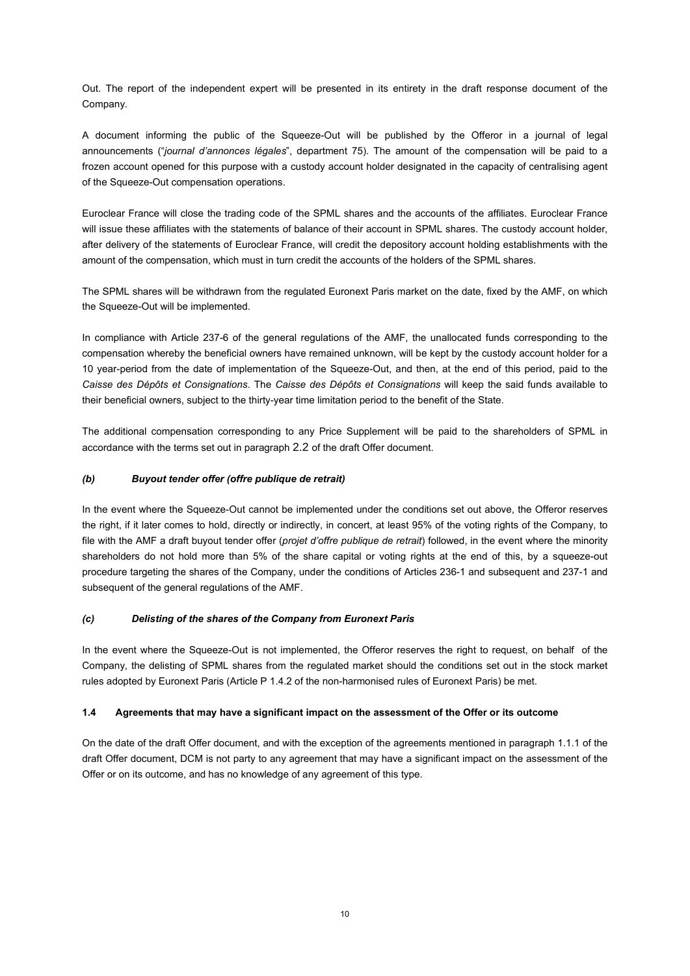Out. The report of the independent expert will be presented in its entirety in the draft response document of the Company.

A document informing the public of the Squeeze-Out will be published by the Offeror in a journal of legal announcements ("*journal d'annonces légales*", department 75). The amount of the compensation will be paid to a frozen account opened for this purpose with a custody account holder designated in the capacity of centralising agent of the Squeeze-Out compensation operations.

Euroclear France will close the trading code of the SPML shares and the accounts of the affiliates. Euroclear France will issue these affiliates with the statements of balance of their account in SPML shares. The custody account holder, after delivery of the statements of Euroclear France, will credit the depository account holding establishments with the amount of the compensation, which must in turn credit the accounts of the holders of the SPML shares.

The SPML shares will be withdrawn from the regulated Euronext Paris market on the date, fixed by the AMF, on which the Squeeze-Out will be implemented.

In compliance with Article 237-6 of the general regulations of the AMF, the unallocated funds corresponding to the compensation whereby the beneficial owners have remained unknown, will be kept by the custody account holder for a 10 year-period from the date of implementation of the Squeeze-Out, and then, at the end of this period, paid to the *Caisse des Dépôts et Consignations*. The *Caisse des Dépôts et Consignations* will keep the said funds available to their beneficial owners, subject to the thirty-year time limitation period to the benefit of the State.

The additional compensation corresponding to any Price Supplement will be paid to the shareholders of SPML in accordance with the terms set out in paragraph 2.2 of the draft Offer document.

#### *(b) Buyout tender offer (offre publique de retrait)*

In the event where the Squeeze-Out cannot be implemented under the conditions set out above, the Offeror reserves the right, if it later comes to hold, directly or indirectly, in concert, at least 95% of the voting rights of the Company, to file with the AMF a draft buyout tender offer (*projet d'offre publique de retrait*) followed, in the event where the minority shareholders do not hold more than 5% of the share capital or voting rights at the end of this, by a squeeze-out procedure targeting the shares of the Company, under the conditions of Articles 236-1 and subsequent and 237-1 and subsequent of the general regulations of the AMF.

## *(c) Delisting of the shares of the Company from Euronext Paris*

In the event where the Squeeze-Out is not implemented, the Offeror reserves the right to request, on behalf of the Company, the delisting of SPML shares from the regulated market should the conditions set out in the stock market rules adopted by Euronext Paris (Article P 1.4.2 of the non-harmonised rules of Euronext Paris) be met.

#### **1.4 Agreements that may have a significant impact on the assessment of the Offer or its outcome**

On the date of the draft Offer document, and with the exception of the agreements mentioned in paragraph [1.1.1](#page-2-1) of the draft Offer document, DCM is not party to any agreement that may have a significant impact on the assessment of the Offer or on its outcome, and has no knowledge of any agreement of this type.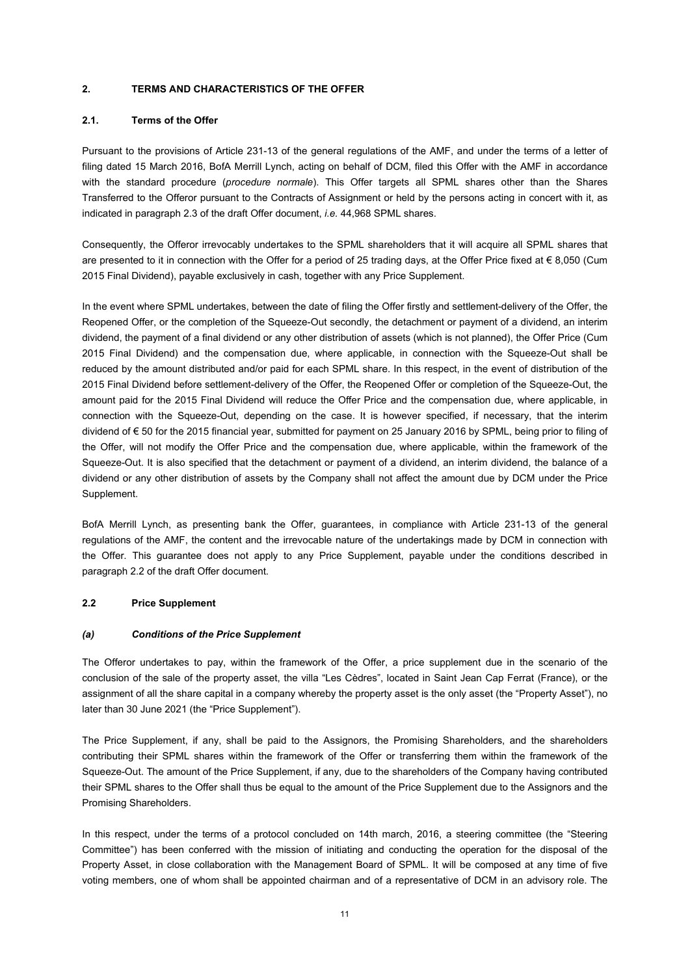#### **2. TERMS AND CHARACTERISTICS OF THE OFFER**

#### **2.1. Terms of the Offer**

Pursuant to the provisions of Article 231-13 of the general regulations of the AMF, and under the terms of a letter of filing dated 15 March 2016, BofA Merrill Lynch, acting on behalf of DCM, filed this Offer with the AMF in accordance with the standard procedure (*procedure normale*). This Offer targets all SPML shares other than the Shares Transferred to the Offeror pursuant to the Contracts of Assignment or held by the persons acting in concert with it, as indicated in paragraph 2.3 of the draft Offer document, *i.e.* 44,968 SPML shares.

Consequently, the Offeror irrevocably undertakes to the SPML shareholders that it will acquire all SPML shares that are presented to it in connection with the Offer for a period of 25 trading days, at the Offer Price fixed at  $\in$  8,050 (Cum 2015 Final Dividend), payable exclusively in cash, together with any Price Supplement.

In the event where SPML undertakes, between the date of filing the Offer firstly and settlement-delivery of the Offer, the Reopened Offer, or the completion of the Squeeze-Out secondly, the detachment or payment of a dividend, an interim dividend, the payment of a final dividend or any other distribution of assets (which is not planned), the Offer Price (Cum 2015 Final Dividend) and the compensation due, where applicable, in connection with the Squeeze-Out shall be reduced by the amount distributed and/or paid for each SPML share. In this respect, in the event of distribution of the 2015 Final Dividend before settlement-delivery of the Offer, the Reopened Offer or completion of the Squeeze-Out, the amount paid for the 2015 Final Dividend will reduce the Offer Price and the compensation due, where applicable, in connection with the Squeeze-Out, depending on the case. It is however specified, if necessary, that the interim dividend of € 50 for the 2015 financial year, submitted for payment on 25 January 2016 by SPML, being prior to filing of the Offer, will not modify the Offer Price and the compensation due, where applicable, within the framework of the Squeeze-Out. It is also specified that the detachment or payment of a dividend, an interim dividend, the balance of a dividend or any other distribution of assets by the Company shall not affect the amount due by DCM under the Price Supplement.

BofA Merrill Lynch, as presenting bank the Offer, guarantees, in compliance with Article 231-13 of the general regulations of the AMF, the content and the irrevocable nature of the undertakings made by DCM in connection with the Offer. This guarantee does not apply to any Price Supplement, payable under the conditions described in paragraph 2.2 of the draft Offer document.

## <span id="page-10-0"></span>**2.2 Price Supplement**

#### *(a) Conditions of the Price Supplement*

The Offeror undertakes to pay, within the framework of the Offer, a price supplement due in the scenario of the conclusion of the sale of the property asset, the villa "Les Cèdres", located in Saint Jean Cap Ferrat (France), or the assignment of all the share capital in a company whereby the property asset is the only asset (the "Property Asset"), no later than 30 June 2021 (the "Price Supplement").

The Price Supplement, if any, shall be paid to the Assignors, the Promising Shareholders, and the shareholders contributing their SPML shares within the framework of the Offer or transferring them within the framework of the Squeeze-Out. The amount of the Price Supplement, if any, due to the shareholders of the Company having contributed their SPML shares to the Offer shall thus be equal to the amount of the Price Supplement due to the Assignors and the Promising Shareholders.

In this respect, under the terms of a protocol concluded on 14th march, 2016, a steering committee (the "Steering Committee") has been conferred with the mission of initiating and conducting the operation for the disposal of the Property Asset, in close collaboration with the Management Board of SPML. It will be composed at any time of five voting members, one of whom shall be appointed chairman and of a representative of DCM in an advisory role. The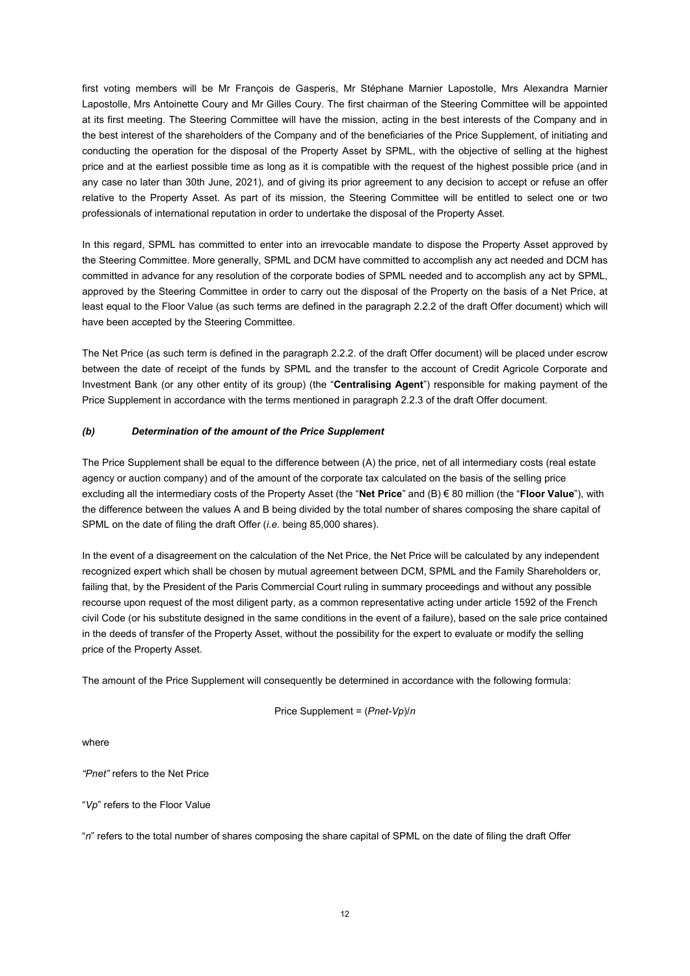first voting members will be Mr François de Gasperis, Mr Stéphane Marnier Lapostolle, Mrs Alexandra Marnier Lapostolle, Mrs Antoinette Coury and Mr Gilles Coury. The first chairman of the Steering Committee will be appointed at its first meeting. The Steering Committee will have the mission, acting in the best interests of the Company and in the best interest of the shareholders of the Company and of the beneficiaries of the Price Supplement, of initiating and conducting the operation for the disposal of the Property Asset by SPML, with the objective of selling at the highest price and at the earliest possible time as long as it is compatible with the request of the highest possible price (and in any case no later than 30th June, 2021), and of giving its prior agreement to any decision to accept or refuse an offer relative to the Property Asset. As part of its mission, the Steering Committee will be entitled to select one or two professionals of international reputation in order to undertake the disposal of the Property Asset.

In this regard, SPML has committed to enter into an irrevocable mandate to dispose the Property Asset approved by the Steering Committee. More generally, SPML and DCM have committed to accomplish any act needed and DCM has committed in advance for any resolution of the corporate bodies of SPML needed and to accomplish any act by SPML, approved by the Steering Committee in order to carry out the disposal of the Property on the basis of a Net Price, at least equal to the Floor Value (as such terms are defined in the paragraph 2.2.2 of the draft Offer document) which will have been accepted by the Steering Committee.

The Net Price (as such term is defined in the paragraph 2.2.2. of the draft Offer document) will be placed under escrow between the date of receipt of the funds by SPML and the transfer to the account of Credit Agricole Corporate and Investment Bank (or any other entity of its group) (the "**Centralising Agent**") responsible for making payment of the Price Supplement in accordance with the terms mentioned in paragraph 2.2.3 of the draft Offer document.

## *(b) Determination of the amount of the Price Supplement*

The Price Supplement shall be equal to the difference between (A) the price, net of all intermediary costs (real estate agency or auction company) and of the amount of the corporate tax calculated on the basis of the selling price excluding all the intermediary costs of the Property Asset (the "**Net Price**" and (B) € 80 million (the "**Floor Value**"), with the difference between the values A and B being divided by the total number of shares composing the share capital of SPML on the date of filing the draft Offer (*i.e.* being 85,000 shares).

In the event of a disagreement on the calculation of the Net Price, the Net Price will be calculated by any independent recognized expert which shall be chosen by mutual agreement between DCM, SPML and the Family Shareholders or, failing that, by the President of the Paris Commercial Court ruling in summary proceedings and without any possible recourse upon request of the most diligent party, as a common representative acting under article 1592 of the French civil Code (or his substitute designed in the same conditions in the event of a failure), based on the sale price contained in the deeds of transfer of the Property Asset, without the possibility for the expert to evaluate or modify the selling price of the Property Asset.

The amount of the Price Supplement will consequently be determined in accordance with the following formula:

```
Price Supplement = (Pnet-Vp)/n
```
where

*"Pnet"* refers to the Net Price

"*Vp*" refers to the Floor Value

"*n*" refers to the total number of shares composing the share capital of SPML on the date of filing the draft Offer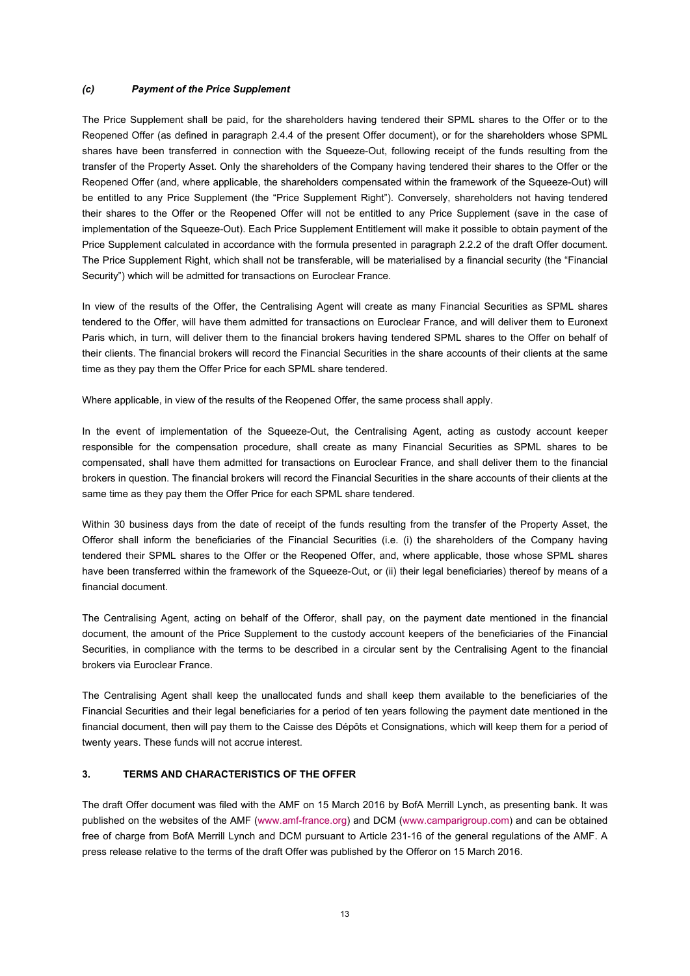#### *(c) Payment of the Price Supplement*

The Price Supplement shall be paid, for the shareholders having tendered their SPML shares to the Offer or to the Reopened Offer (as defined in paragraph 2.4.4 of the present Offer document), or for the shareholders whose SPML shares have been transferred in connection with the Squeeze-Out, following receipt of the funds resulting from the transfer of the Property Asset. Only the shareholders of the Company having tendered their shares to the Offer or the Reopened Offer (and, where applicable, the shareholders compensated within the framework of the Squeeze-Out) will be entitled to any Price Supplement (the "Price Supplement Right"). Conversely, shareholders not having tendered their shares to the Offer or the Reopened Offer will not be entitled to any Price Supplement (save in the case of implementation of the Squeeze-Out). Each Price Supplement Entitlement will make it possible to obtain payment of the Price Supplement calculated in accordance with the formula presented in paragraph 2.2.2 of the draft Offer document. The Price Supplement Right, which shall not be transferable, will be materialised by a financial security (the "Financial Security") which will be admitted for transactions on Euroclear France.

In view of the results of the Offer, the Centralising Agent will create as many Financial Securities as SPML shares tendered to the Offer, will have them admitted for transactions on Euroclear France, and will deliver them to Euronext Paris which, in turn, will deliver them to the financial brokers having tendered SPML shares to the Offer on behalf of their clients. The financial brokers will record the Financial Securities in the share accounts of their clients at the same time as they pay them the Offer Price for each SPML share tendered.

Where applicable, in view of the results of the Reopened Offer, the same process shall apply.

In the event of implementation of the Squeeze-Out, the Centralising Agent, acting as custody account keeper responsible for the compensation procedure, shall create as many Financial Securities as SPML shares to be compensated, shall have them admitted for transactions on Euroclear France, and shall deliver them to the financial brokers in question. The financial brokers will record the Financial Securities in the share accounts of their clients at the same time as they pay them the Offer Price for each SPML share tendered.

Within 30 business days from the date of receipt of the funds resulting from the transfer of the Property Asset, the Offeror shall inform the beneficiaries of the Financial Securities (i.e. (i) the shareholders of the Company having tendered their SPML shares to the Offer or the Reopened Offer, and, where applicable, those whose SPML shares have been transferred within the framework of the Squeeze-Out, or (ii) their legal beneficiaries) thereof by means of a financial document.

The Centralising Agent, acting on behalf of the Offeror, shall pay, on the payment date mentioned in the financial document, the amount of the Price Supplement to the custody account keepers of the beneficiaries of the Financial Securities, in compliance with the terms to be described in a circular sent by the Centralising Agent to the financial brokers via Euroclear France.

The Centralising Agent shall keep the unallocated funds and shall keep them available to the beneficiaries of the Financial Securities and their legal beneficiaries for a period of ten years following the payment date mentioned in the financial document, then will pay them to the Caisse des Dépôts et Consignations, which will keep them for a period of twenty years. These funds will not accrue interest.

## **3. TERMS AND CHARACTERISTICS OF THE OFFER**

The draft Offer document was filed with the AMF on 15 March 2016 by BofA Merrill Lynch, as presenting bank. It was published on the websites of the AMF [\(www.amf-france.org\)](http://www.amf-france.org/) and DCM [\(www.camparigroup.com\)](http://www.camparigroup.com/) and can be obtained free of charge from BofA Merrill Lynch and DCM pursuant to Article 231-16 of the general regulations of the AMF. A press release relative to the terms of the draft Offer was published by the Offeror on 15 March 2016.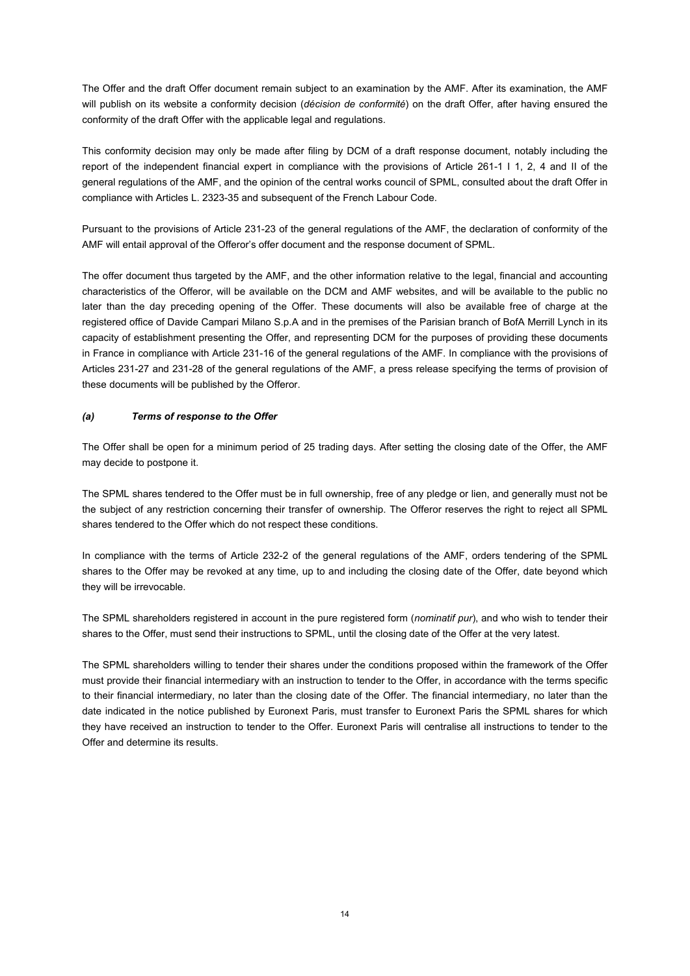The Offer and the draft Offer document remain subject to an examination by the AMF. After its examination, the AMF will publish on its website a conformity decision (*décision de conformité*) on the draft Offer, after having ensured the conformity of the draft Offer with the applicable legal and regulations.

This conformity decision may only be made after filing by DCM of a draft response document, notably including the report of the independent financial expert in compliance with the provisions of Article 261-1 I 1, 2, 4 and II of the general regulations of the AMF, and the opinion of the central works council of SPML, consulted about the draft Offer in compliance with Articles L. 2323-35 and subsequent of the French Labour Code.

Pursuant to the provisions of Article 231-23 of the general regulations of the AMF, the declaration of conformity of the AMF will entail approval of the Offeror's offer document and the response document of SPML.

The offer document thus targeted by the AMF, and the other information relative to the legal, financial and accounting characteristics of the Offeror, will be available on the DCM and AMF websites, and will be available to the public no later than the day preceding opening of the Offer. These documents will also be available free of charge at the registered office of Davide Campari Milano S.p.A and in the premises of the Parisian branch of BofA Merrill Lynch in its capacity of establishment presenting the Offer, and representing DCM for the purposes of providing these documents in France in compliance with Article 231-16 of the general regulations of the AMF. In compliance with the provisions of Articles 231-27 and 231-28 of the general regulations of the AMF, a press release specifying the terms of provision of these documents will be published by the Offeror.

#### *(a) Terms of response to the Offer*

The Offer shall be open for a minimum period of 25 trading days. After setting the closing date of the Offer, the AMF may decide to postpone it.

The SPML shares tendered to the Offer must be in full ownership, free of any pledge or lien, and generally must not be the subject of any restriction concerning their transfer of ownership. The Offeror reserves the right to reject all SPML shares tendered to the Offer which do not respect these conditions.

In compliance with the terms of Article 232-2 of the general regulations of the AMF, orders tendering of the SPML shares to the Offer may be revoked at any time, up to and including the closing date of the Offer, date beyond which they will be irrevocable.

The SPML shareholders registered in account in the pure registered form (*nominatif pur*), and who wish to tender their shares to the Offer, must send their instructions to SPML, until the closing date of the Offer at the very latest.

The SPML shareholders willing to tender their shares under the conditions proposed within the framework of the Offer must provide their financial intermediary with an instruction to tender to the Offer, in accordance with the terms specific to their financial intermediary, no later than the closing date of the Offer. The financial intermediary, no later than the date indicated in the notice published by Euronext Paris, must transfer to Euronext Paris the SPML shares for which they have received an instruction to tender to the Offer. Euronext Paris will centralise all instructions to tender to the Offer and determine its results.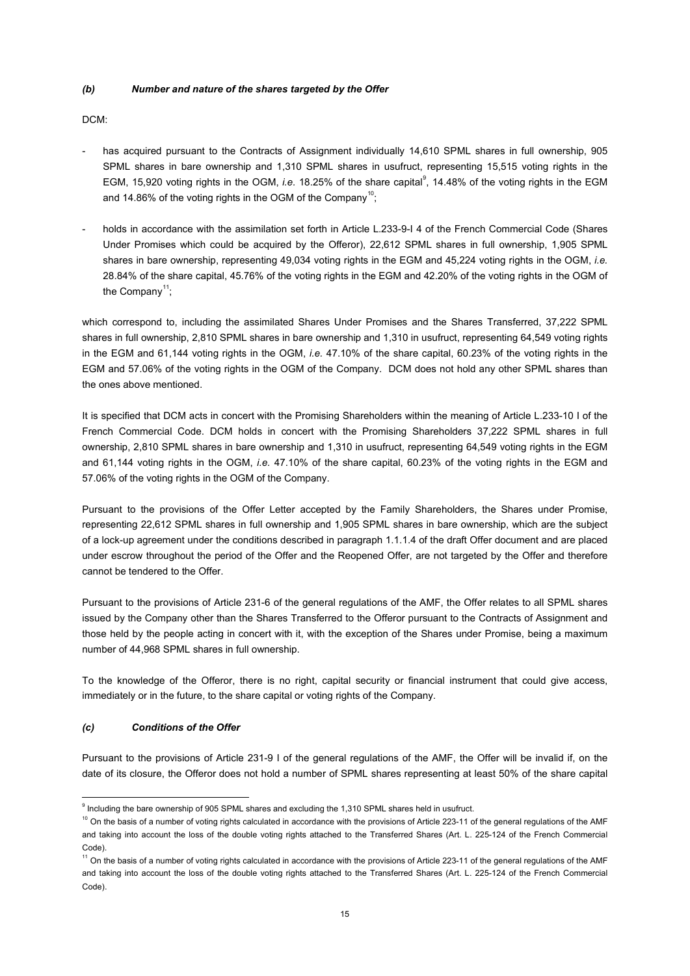#### *(b) Number and nature of the shares targeted by the Offer*

DCM:

- has acquired pursuant to the Contracts of Assignment individually 14,610 SPML shares in full ownership, 905 SPML shares in bare ownership and 1,310 SPML shares in usufruct, representing 15,515 voting rights in the EGM, 15,[9](#page-14-0)20 voting rights in the OGM, *i.e.* 18.25% of the share capital<sup>9</sup>, 14.48% of the voting rights in the EGM and 14.86% of the voting rights in the OGM of the Company<sup>10</sup>;
- holds in accordance with the assimilation set forth in Article L.233-9-I 4 of the French Commercial Code (Shares Under Promises which could be acquired by the Offeror), 22,612 SPML shares in full ownership, 1,905 SPML shares in bare ownership, representing 49,034 voting rights in the EGM and 45,224 voting rights in the OGM, *i.e.* 28.84% of the share capital, 45.76% of the voting rights in the EGM and 42.20% of the voting rights in the OGM of the Company<sup>[11](#page-14-2)</sup>;

which correspond to, including the assimilated Shares Under Promises and the Shares Transferred, 37,222 SPML shares in full ownership, 2,810 SPML shares in bare ownership and 1,310 in usufruct, representing 64,549 voting rights in the EGM and 61,144 voting rights in the OGM, *i.e.* 47.10% of the share capital, 60.23% of the voting rights in the EGM and 57.06% of the voting rights in the OGM of the Company. DCM does not hold any other SPML shares than the ones above mentioned.

It is specified that DCM acts in concert with the Promising Shareholders within the meaning of Article L.233-10 I of the French Commercial Code. DCM holds in concert with the Promising Shareholders 37,222 SPML shares in full ownership, 2,810 SPML shares in bare ownership and 1,310 in usufruct, representing 64,549 voting rights in the EGM and 61,144 voting rights in the OGM, *i.e.* 47.10% of the share capital, 60.23% of the voting rights in the EGM and 57.06% of the voting rights in the OGM of the Company.

Pursuant to the provisions of the Offer Letter accepted by the Family Shareholders, the Shares under Promise, representing 22,612 SPML shares in full ownership and 1,905 SPML shares in bare ownership, which are the subject of a lock-up agreement under the conditions described in paragraph 1.1.1.4 of the draft Offer document and are placed under escrow throughout the period of the Offer and the Reopened Offer, are not targeted by the Offer and therefore cannot be tendered to the Offer.

Pursuant to the provisions of Article 231-6 of the general regulations of the AMF, the Offer relates to all SPML shares issued by the Company other than the Shares Transferred to the Offeror pursuant to the Contracts of Assignment and those held by the people acting in concert with it, with the exception of the Shares under Promise, being a maximum number of 44,968 SPML shares in full ownership.

To the knowledge of the Offeror, there is no right, capital security or financial instrument that could give access, immediately or in the future, to the share capital or voting rights of the Company.

## *(c) Conditions of the Offer*

Pursuant to the provisions of Article 231-9 I of the general regulations of the AMF, the Offer will be invalid if, on the date of its closure, the Offeror does not hold a number of SPML shares representing at least 50% of the share capital

<span id="page-14-0"></span> $9$  Including the bare ownership of 905 SPML shares and excluding the 1,310 SPML shares held in usufruct.

<span id="page-14-1"></span><sup>&</sup>lt;sup>10</sup> On the basis of a number of voting rights calculated in accordance with the provisions of Article 223-11 of the general regulations of the AMF and taking into account the loss of the double voting rights attached to the Transferred Shares (Art. L. 225-124 of the French Commercial Code).

<span id="page-14-2"></span><sup>&</sup>lt;sup>11</sup> On the basis of a number of voting rights calculated in accordance with the provisions of Article 223-11 of the general regulations of the AMF and taking into account the loss of the double voting rights attached to the Transferred Shares (Art. L. 225-124 of the French Commercial Code).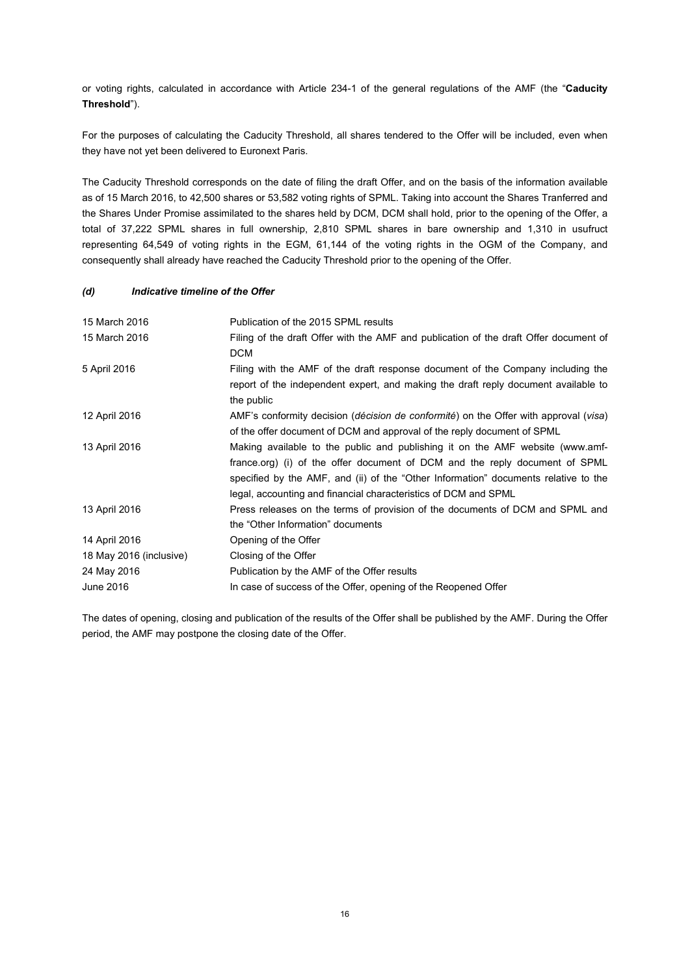or voting rights, calculated in accordance with Article 234-1 of the general regulations of the AMF (the "**Caducity Threshold**").

For the purposes of calculating the Caducity Threshold, all shares tendered to the Offer will be included, even when they have not yet been delivered to Euronext Paris.

The Caducity Threshold corresponds on the date of filing the draft Offer, and on the basis of the information available as of 15 March 2016, to 42,500 shares or 53,582 voting rights of SPML. Taking into account the Shares Tranferred and the Shares Under Promise assimilated to the shares held by DCM, DCM shall hold, prior to the opening of the Offer, a total of 37,222 SPML shares in full ownership, 2,810 SPML shares in bare ownership and 1,310 in usufruct representing 64,549 of voting rights in the EGM, 61,144 of the voting rights in the OGM of the Company, and consequently shall already have reached the Caducity Threshold prior to the opening of the Offer.

#### *(d) Indicative timeline of the Offer*

| 15 March 2016           | Publication of the 2015 SPML results                                                                   |
|-------------------------|--------------------------------------------------------------------------------------------------------|
| 15 March 2016           | Filing of the draft Offer with the AMF and publication of the draft Offer document of                  |
|                         | <b>DCM</b>                                                                                             |
| 5 April 2016            | Filing with the AMF of the draft response document of the Company including the                        |
|                         | report of the independent expert, and making the draft reply document available to                     |
|                         | the public                                                                                             |
| 12 April 2016           | AMF's conformity decision ( <i>décision de conformité</i> ) on the Offer with approval ( <i>visa</i> ) |
|                         | of the offer document of DCM and approval of the reply document of SPML                                |
| 13 April 2016           | Making available to the public and publishing it on the AMF website (www.amf-                          |
|                         | france.org) (i) of the offer document of DCM and the reply document of SPML                            |
|                         | specified by the AMF, and (ii) of the "Other Information" documents relative to the                    |
|                         | legal, accounting and financial characteristics of DCM and SPML                                        |
| 13 April 2016           | Press releases on the terms of provision of the documents of DCM and SPML and                          |
|                         | the "Other Information" documents                                                                      |
| 14 April 2016           | Opening of the Offer                                                                                   |
| 18 May 2016 (inclusive) | Closing of the Offer                                                                                   |
| 24 May 2016             | Publication by the AMF of the Offer results                                                            |
| June 2016               | In case of success of the Offer, opening of the Reopened Offer                                         |

The dates of opening, closing and publication of the results of the Offer shall be published by the AMF. During the Offer period, the AMF may postpone the closing date of the Offer.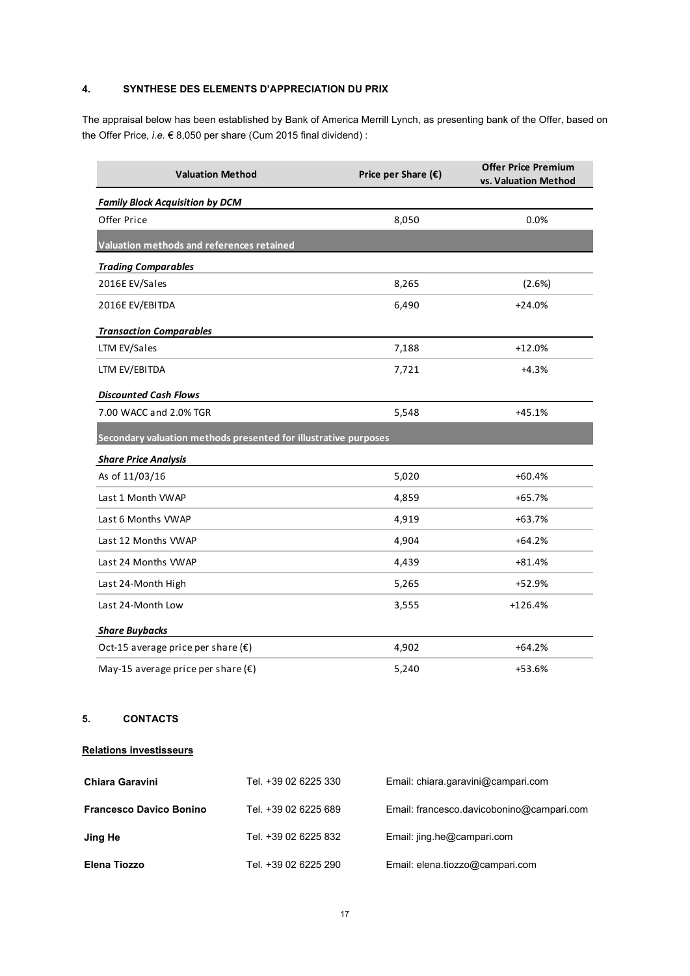# **4. SYNTHESE DES ELEMENTS D'APPRECIATION DU PRIX**

The appraisal below has been established by Bank of America Merrill Lynch, as presenting bank of the Offer, based on the Offer Price, *i.e.* € 8,050 per share (Cum 2015 final dividend) :

| <b>Valuation Method</b>                                         | Price per Share $(\epsilon)$ | <b>Offer Price Premium</b><br>vs. Valuation Method |  |  |  |  |
|-----------------------------------------------------------------|------------------------------|----------------------------------------------------|--|--|--|--|
| <b>Family Block Acquisition by DCM</b>                          |                              |                                                    |  |  |  |  |
| Offer Price                                                     | 8,050                        | 0.0%                                               |  |  |  |  |
| Valuation methods and references retained                       |                              |                                                    |  |  |  |  |
| <b>Trading Comparables</b>                                      |                              |                                                    |  |  |  |  |
| 2016E EV/Sales                                                  | 8,265                        | (2.6%)                                             |  |  |  |  |
| 2016E EV/EBITDA                                                 | 6,490                        | $+24.0%$                                           |  |  |  |  |
| <b>Transaction Comparables</b>                                  |                              |                                                    |  |  |  |  |
| LTM EV/Sales                                                    | 7,188                        | $+12.0%$                                           |  |  |  |  |
| LTM EV/EBITDA                                                   | 7,721                        | $+4.3%$                                            |  |  |  |  |
| <b>Discounted Cash Flows</b>                                    |                              |                                                    |  |  |  |  |
| 7.00 WACC and 2.0% TGR                                          | 5,548                        | $+45.1%$                                           |  |  |  |  |
| Secondary valuation methods presented for illustrative purposes |                              |                                                    |  |  |  |  |
| <b>Share Price Analysis</b>                                     |                              |                                                    |  |  |  |  |
| As of 11/03/16                                                  | 5,020                        | $+60.4%$                                           |  |  |  |  |
| Last 1 Month VWAP                                               | 4,859                        | $+65.7%$                                           |  |  |  |  |
| Last 6 Months VWAP                                              | 4,919                        | $+63.7%$                                           |  |  |  |  |
| Last 12 Months VWAP                                             | 4,904                        | $+64.2%$                                           |  |  |  |  |
| Last 24 Months VWAP                                             | 4,439                        | $+81.4%$                                           |  |  |  |  |
| Last 24-Month High                                              | 5,265                        | +52.9%                                             |  |  |  |  |
| Last 24-Month Low                                               | 3,555                        | $+126.4%$                                          |  |  |  |  |
| <b>Share Buybacks</b>                                           |                              |                                                    |  |  |  |  |
| Oct-15 average price per share $(\epsilon)$                     | 4,902                        | $+64.2%$                                           |  |  |  |  |
| May-15 average price per share $(\epsilon)$                     | 5,240                        | +53.6%                                             |  |  |  |  |

# **5. CONTACTS**

## **Relations investisseurs**

| <b>Chiara Garavini</b>         | Tel. +39 02 6225 330 | Email: chiara.garavini@campari.com        |
|--------------------------------|----------------------|-------------------------------------------|
| <b>Francesco Davico Bonino</b> | Tel. +39 02 6225 689 | Email: francesco.davicobonino@campari.com |
| Jing He                        | Tel. +39 02 6225 832 | Email: jing.he@campari.com                |
| Elena Tiozzo                   | Tel. +39 02 6225 290 | Email: elena.tiozzo@campari.com           |